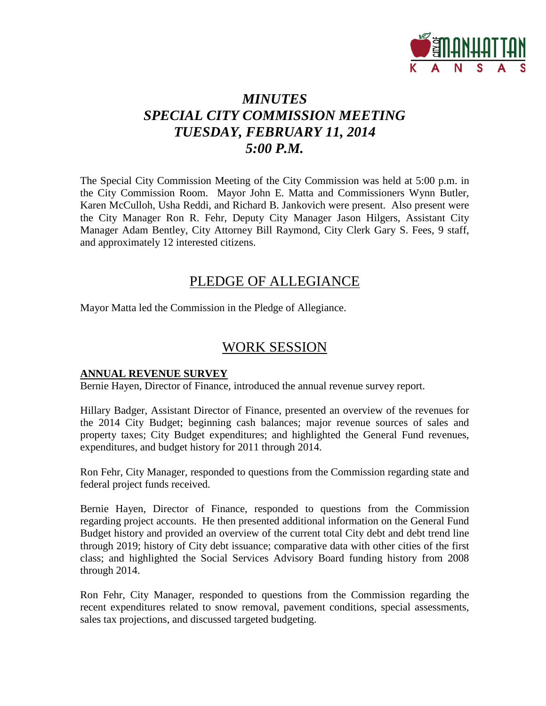

# *MINUTES SPECIAL CITY COMMISSION MEETING TUESDAY, FEBRUARY 11, 2014 5:00 P.M.*

The Special City Commission Meeting of the City Commission was held at 5:00 p.m. in the City Commission Room. Mayor John E. Matta and Commissioners Wynn Butler, Karen McCulloh, Usha Reddi, and Richard B. Jankovich were present. Also present were the City Manager Ron R. Fehr, Deputy City Manager Jason Hilgers, Assistant City Manager Adam Bentley, City Attorney Bill Raymond, City Clerk Gary S. Fees, 9 staff, and approximately 12 interested citizens.

# PLEDGE OF ALLEGIANCE

Mayor Matta led the Commission in the Pledge of Allegiance.

# WORK SESSION

#### **ANNUAL REVENUE SURVEY**

Bernie Hayen, Director of Finance, introduced the annual revenue survey report.

Hillary Badger, Assistant Director of Finance, presented an overview of the revenues for the 2014 City Budget; beginning cash balances; major revenue sources of sales and property taxes; City Budget expenditures; and highlighted the General Fund revenues, expenditures, and budget history for 2011 through 2014.

Ron Fehr, City Manager, responded to questions from the Commission regarding state and federal project funds received.

Bernie Hayen, Director of Finance, responded to questions from the Commission regarding project accounts. He then presented additional information on the General Fund Budget history and provided an overview of the current total City debt and debt trend line through 2019; history of City debt issuance; comparative data with other cities of the first class; and highlighted the Social Services Advisory Board funding history from 2008 through 2014.

Ron Fehr, City Manager, responded to questions from the Commission regarding the recent expenditures related to snow removal, pavement conditions, special assessments, sales tax projections, and discussed targeted budgeting.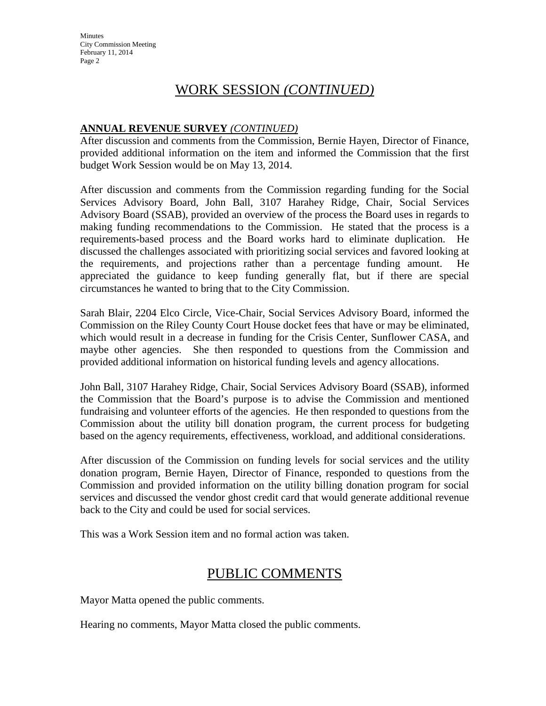# WORK SESSION *(CONTINUED)*

# **ANNUAL REVENUE SURVEY** *(CONTINUED)*

After discussion and comments from the Commission, Bernie Hayen, Director of Finance, provided additional information on the item and informed the Commission that the first budget Work Session would be on May 13, 2014.

After discussion and comments from the Commission regarding funding for the Social Services Advisory Board, John Ball, 3107 Harahey Ridge, Chair, Social Services Advisory Board (SSAB), provided an overview of the process the Board uses in regards to making funding recommendations to the Commission. He stated that the process is a requirements-based process and the Board works hard to eliminate duplication. He discussed the challenges associated with prioritizing social services and favored looking at the requirements, and projections rather than a percentage funding amount. He appreciated the guidance to keep funding generally flat, but if there are special circumstances he wanted to bring that to the City Commission.

Sarah Blair, 2204 Elco Circle, Vice-Chair, Social Services Advisory Board, informed the Commission on the Riley County Court House docket fees that have or may be eliminated, which would result in a decrease in funding for the Crisis Center, Sunflower CASA, and maybe other agencies. She then responded to questions from the Commission and provided additional information on historical funding levels and agency allocations.

John Ball, 3107 Harahey Ridge, Chair, Social Services Advisory Board (SSAB), informed the Commission that the Board's purpose is to advise the Commission and mentioned fundraising and volunteer efforts of the agencies. He then responded to questions from the Commission about the utility bill donation program, the current process for budgeting based on the agency requirements, effectiveness, workload, and additional considerations.

After discussion of the Commission on funding levels for social services and the utility donation program, Bernie Hayen, Director of Finance, responded to questions from the Commission and provided information on the utility billing donation program for social services and discussed the vendor ghost credit card that would generate additional revenue back to the City and could be used for social services.

This was a Work Session item and no formal action was taken.

# PUBLIC COMMENTS

Mayor Matta opened the public comments.

Hearing no comments, Mayor Matta closed the public comments.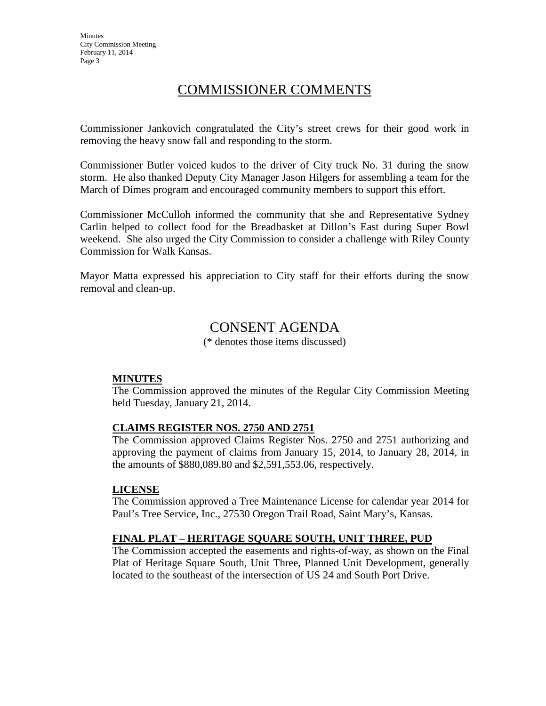# COMMISSIONER COMMENTS

Commissioner Jankovich congratulated the City's street crews for their good work in removing the heavy snow fall and responding to the storm.

Commissioner Butler voiced kudos to the driver of City truck No. 31 during the snow storm. He also thanked Deputy City Manager Jason Hilgers for assembling a team for the March of Dimes program and encouraged community members to support this effort.

Commissioner McCulloh informed the community that she and Representative Sydney Carlin helped to collect food for the Breadbasket at Dillon's East during Super Bowl weekend. She also urged the City Commission to consider a challenge with Riley County Commission for Walk Kansas.

Mayor Matta expressed his appreciation to City staff for their efforts during the snow removal and clean-up.

# CONSENT AGENDA

(\* denotes those items discussed)

#### **MINUTES**

The Commission approved the minutes of the Regular City Commission Meeting held Tuesday, January 21, 2014.

### **CLAIMS REGISTER NOS. 2750 AND 2751**

The Commission approved Claims Register Nos. 2750 and 2751 authorizing and approving the payment of claims from January 15, 2014, to January 28, 2014, in the amounts of \$880,089.80 and \$2,591,553.06, respectively.

#### **LICENSE**

The Commission approved a Tree Maintenance License for calendar year 2014 for Paul's Tree Service, Inc., 27530 Oregon Trail Road, Saint Mary's, Kansas.

#### **FINAL PLAT – HERITAGE SQUARE SOUTH, UNIT THREE, PUD**

The Commission accepted the easements and rights-of-way, as shown on the Final Plat of Heritage Square South, Unit Three, Planned Unit Development, generally located to the southeast of the intersection of US 24 and South Port Drive.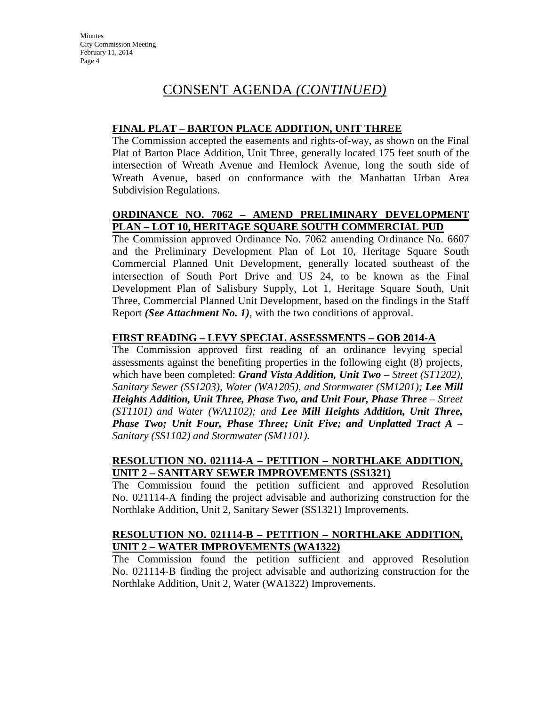# CONSENT AGENDA *(CONTINUED)*

### **FINAL PLAT – BARTON PLACE ADDITION, UNIT THREE**

The Commission accepted the easements and rights-of-way, as shown on the Final Plat of Barton Place Addition, Unit Three, generally located 175 feet south of the intersection of Wreath Avenue and Hemlock Avenue, long the south side of Wreath Avenue, based on conformance with the Manhattan Urban Area Subdivision Regulations.

# **ORDINANCE NO. 7062 – AMEND PRELIMINARY DEVELOPMENT PLAN – LOT 10, HERITAGE SQUARE SOUTH COMMERCIAL PUD**

The Commission approved Ordinance No. 7062 amending Ordinance No. 6607 and the Preliminary Development Plan of Lot 10, Heritage Square South Commercial Planned Unit Development, generally located southeast of the intersection of South Port Drive and US 24, to be known as the Final Development Plan of Salisbury Supply, Lot 1, Heritage Square South, Unit Three, Commercial Planned Unit Development, based on the findings in the Staff Report *(See Attachment No. 1)*, with the two conditions of approval.

# **FIRST READING – LEVY SPECIAL ASSESSMENTS – GOB 2014-A**

The Commission approved first reading of an ordinance levying special assessments against the benefiting properties in the following eight (8) projects, which have been completed: *Grand Vista Addition, Unit Two – Street (ST1202), Sanitary Sewer (SS1203), Water (WA1205), and Stormwater (SM1201); Lee Mill Heights Addition, Unit Three, Phase Two, and Unit Four, Phase Three – Street (ST1101) and Water (WA1102); and Lee Mill Heights Addition, Unit Three, Phase Two; Unit Four, Phase Three; Unit Five; and Unplatted Tract A – Sanitary (SS1102) and Stormwater (SM1101).*

# **RESOLUTION NO. 021114-A – PETITION – NORTHLAKE ADDITION, UNIT 2 – SANITARY SEWER IMPROVEMENTS (SS1321)**

The Commission found the petition sufficient and approved Resolution No. 021114-A finding the project advisable and authorizing construction for the Northlake Addition, Unit 2, Sanitary Sewer (SS1321) Improvements.

### **RESOLUTION NO. 021114-B – PETITION – NORTHLAKE ADDITION, UNIT 2 – WATER IMPROVEMENTS (WA1322)**

The Commission found the petition sufficient and approved Resolution No. 021114-B finding the project advisable and authorizing construction for the Northlake Addition, Unit 2, Water (WA1322) Improvements.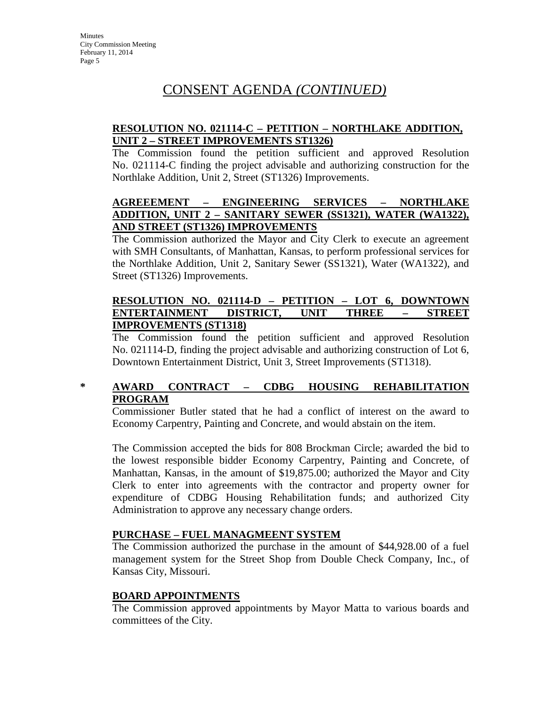# CONSENT AGENDA *(CONTINUED)*

# **RESOLUTION NO. 021114-C – PETITION – NORTHLAKE ADDITION, UNIT 2 – STREET IMPROVEMENTS ST1326)**

The Commission found the petition sufficient and approved Resolution No. 021114-C finding the project advisable and authorizing construction for the Northlake Addition, Unit 2, Street (ST1326) Improvements.

# **AGREEEMENT – ENGINEERING SERVICES – NORTHLAKE ADDITION, UNIT 2 – SANITARY SEWER (SS1321), WATER (WA1322), AND STREET (ST1326) IMPROVEMENTS**

The Commission authorized the Mayor and City Clerk to execute an agreement with SMH Consultants, of Manhattan, Kansas, to perform professional services for the Northlake Addition, Unit 2, Sanitary Sewer (SS1321), Water (WA1322), and Street (ST1326) Improvements.

### **RESOLUTION NO. 021114-D – PETITION – LOT 6, DOWNTOWN ENTERTAINMENT DISTRICT, UNIT THREE – STREET IMPROVEMENTS (ST1318)**

The Commission found the petition sufficient and approved Resolution No. 021114-D, finding the project advisable and authorizing construction of Lot 6, Downtown Entertainment District, Unit 3, Street Improvements (ST1318).

# **\* AWARD CONTRACT – CDBG HOUSING REHABILITATION PROGRAM**

Commissioner Butler stated that he had a conflict of interest on the award to Economy Carpentry, Painting and Concrete, and would abstain on the item.

The Commission accepted the bids for 808 Brockman Circle; awarded the bid to the lowest responsible bidder Economy Carpentry, Painting and Concrete, of Manhattan, Kansas, in the amount of \$19,875.00; authorized the Mayor and City Clerk to enter into agreements with the contractor and property owner for expenditure of CDBG Housing Rehabilitation funds; and authorized City Administration to approve any necessary change orders.

### **PURCHASE – FUEL MANAGMEENT SYSTEM**

The Commission authorized the purchase in the amount of \$44,928.00 of a fuel management system for the Street Shop from Double Check Company, Inc., of Kansas City, Missouri.

#### **BOARD APPOINTMENTS**

The Commission approved appointments by Mayor Matta to various boards and committees of the City.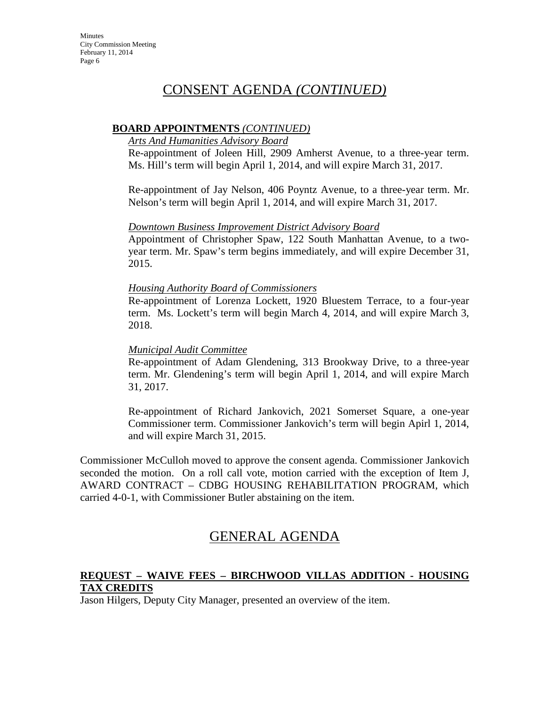# CONSENT AGENDA *(CONTINUED)*

### **BOARD APPOINTMENTS** *(CONTINUED)*

#### *Arts And Humanities Advisory Board*

Re-appointment of Joleen Hill, 2909 Amherst Avenue, to a three-year term. Ms. Hill's term will begin April 1, 2014, and will expire March 31, 2017.

Re-appointment of Jay Nelson, 406 Poyntz Avenue, to a three-year term. Mr. Nelson's term will begin April 1, 2014, and will expire March 31, 2017.

#### *Downtown Business Improvement District Advisory Board*

Appointment of Christopher Spaw, 122 South Manhattan Avenue, to a twoyear term. Mr. Spaw's term begins immediately, and will expire December 31, 2015.

#### *Housing Authority Board of Commissioners*

Re-appointment of Lorenza Lockett, 1920 Bluestem Terrace, to a four-year term. Ms. Lockett's term will begin March 4, 2014, and will expire March 3, 2018.

#### *Municipal Audit Committee*

Re-appointment of Adam Glendening, 313 Brookway Drive, to a three-year term. Mr. Glendening's term will begin April 1, 2014, and will expire March 31, 2017.

Re-appointment of Richard Jankovich, 2021 Somerset Square, a one-year Commissioner term. Commissioner Jankovich's term will begin Apirl 1, 2014, and will expire March 31, 2015.

Commissioner McCulloh moved to approve the consent agenda. Commissioner Jankovich seconded the motion. On a roll call vote, motion carried with the exception of Item J, AWARD CONTRACT – CDBG HOUSING REHABILITATION PROGRAM, which carried 4-0-1, with Commissioner Butler abstaining on the item.

# GENERAL AGENDA

# **REQUEST – WAIVE FEES – BIRCHWOOD VILLAS ADDITION - HOUSING TAX CREDITS**

Jason Hilgers, Deputy City Manager, presented an overview of the item.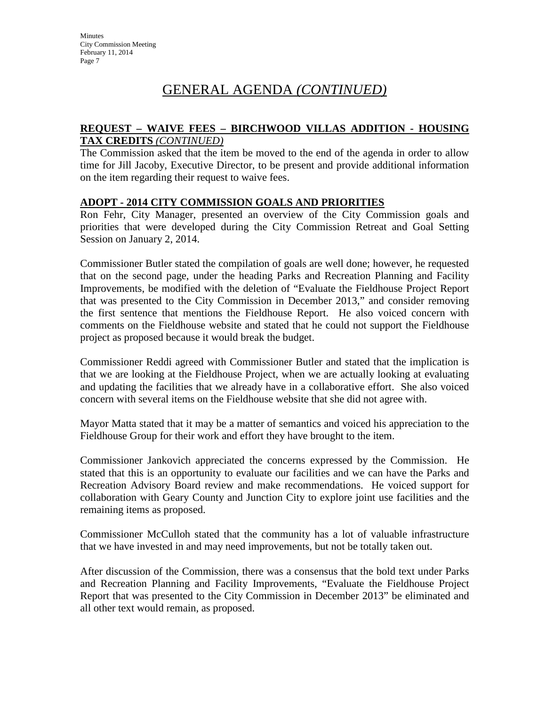# GENERAL AGENDA *(CONTINUED)*

### **REQUEST – WAIVE FEES – BIRCHWOOD VILLAS ADDITION - HOUSING TAX CREDITS** *(CONTINUED)*

The Commission asked that the item be moved to the end of the agenda in order to allow time for Jill Jacoby, Executive Director, to be present and provide additional information on the item regarding their request to waive fees.

#### **ADOPT - 2014 CITY COMMISSION GOALS AND PRIORITIES**

Ron Fehr, City Manager, presented an overview of the City Commission goals and priorities that were developed during the City Commission Retreat and Goal Setting Session on January 2, 2014.

Commissioner Butler stated the compilation of goals are well done; however, he requested that on the second page, under the heading Parks and Recreation Planning and Facility Improvements, be modified with the deletion of "Evaluate the Fieldhouse Project Report that was presented to the City Commission in December 2013," and consider removing the first sentence that mentions the Fieldhouse Report. He also voiced concern with comments on the Fieldhouse website and stated that he could not support the Fieldhouse project as proposed because it would break the budget.

Commissioner Reddi agreed with Commissioner Butler and stated that the implication is that we are looking at the Fieldhouse Project, when we are actually looking at evaluating and updating the facilities that we already have in a collaborative effort. She also voiced concern with several items on the Fieldhouse website that she did not agree with.

Mayor Matta stated that it may be a matter of semantics and voiced his appreciation to the Fieldhouse Group for their work and effort they have brought to the item.

Commissioner Jankovich appreciated the concerns expressed by the Commission. He stated that this is an opportunity to evaluate our facilities and we can have the Parks and Recreation Advisory Board review and make recommendations. He voiced support for collaboration with Geary County and Junction City to explore joint use facilities and the remaining items as proposed.

Commissioner McCulloh stated that the community has a lot of valuable infrastructure that we have invested in and may need improvements, but not be totally taken out.

After discussion of the Commission, there was a consensus that the bold text under Parks and Recreation Planning and Facility Improvements, "Evaluate the Fieldhouse Project Report that was presented to the City Commission in December 2013" be eliminated and all other text would remain, as proposed.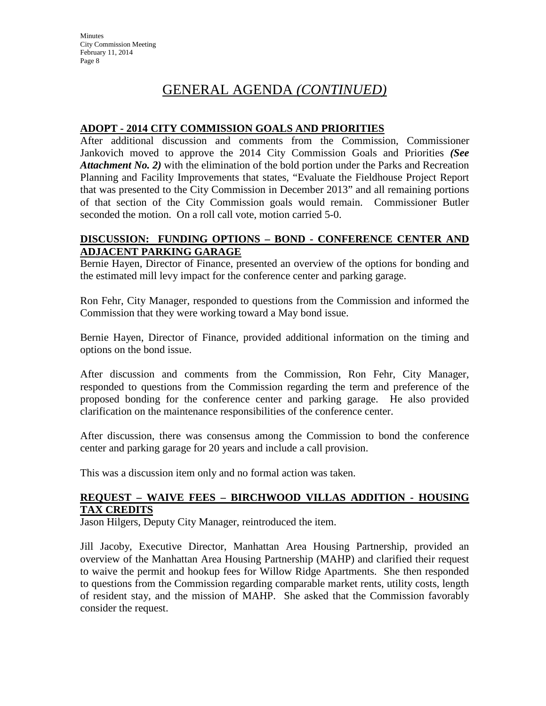# GENERAL AGENDA *(CONTINUED)*

### **ADOPT - 2014 CITY COMMISSION GOALS AND PRIORITIES**

After additional discussion and comments from the Commission, Commissioner Jankovich moved to approve the 2014 City Commission Goals and Priorities *(See Attachment No. 2)* with the elimination of the bold portion under the Parks and Recreation Planning and Facility Improvements that states, "Evaluate the Fieldhouse Project Report that was presented to the City Commission in December 2013" and all remaining portions of that section of the City Commission goals would remain. Commissioner Butler seconded the motion. On a roll call vote, motion carried 5-0.

### **DISCUSSION: FUNDING OPTIONS – BOND - CONFERENCE CENTER AND ADJACENT PARKING GARAGE**

Bernie Hayen, Director of Finance, presented an overview of the options for bonding and the estimated mill levy impact for the conference center and parking garage.

Ron Fehr, City Manager, responded to questions from the Commission and informed the Commission that they were working toward a May bond issue.

Bernie Hayen, Director of Finance, provided additional information on the timing and options on the bond issue.

After discussion and comments from the Commission, Ron Fehr, City Manager, responded to questions from the Commission regarding the term and preference of the proposed bonding for the conference center and parking garage. He also provided clarification on the maintenance responsibilities of the conference center.

After discussion, there was consensus among the Commission to bond the conference center and parking garage for 20 years and include a call provision.

This was a discussion item only and no formal action was taken.

### **REQUEST – WAIVE FEES – BIRCHWOOD VILLAS ADDITION - HOUSING TAX CREDITS**

Jason Hilgers, Deputy City Manager, reintroduced the item.

Jill Jacoby, Executive Director, Manhattan Area Housing Partnership, provided an overview of the Manhattan Area Housing Partnership (MAHP) and clarified their request to waive the permit and hookup fees for Willow Ridge Apartments. She then responded to questions from the Commission regarding comparable market rents, utility costs, length of resident stay, and the mission of MAHP. She asked that the Commission favorably consider the request.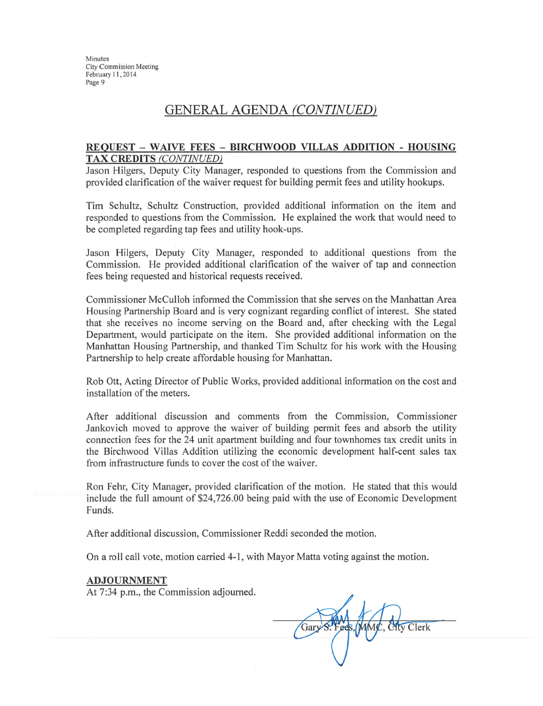# **GENERAL AGENDA (CONTINUED)**

#### REQUEST - WAIVE FEES - BIRCHWOOD VILLAS ADDITION - HOUSING **TAX CREDITS (CONTINUED)**

Jason Hilgers, Deputy City Manager, responded to questions from the Commission and provided clarification of the waiver request for building permit fees and utility hookups.

Tim Schultz, Schultz Construction, provided additional information on the item and responded to questions from the Commission. He explained the work that would need to be completed regarding tap fees and utility hook-ups.

Jason Hilgers, Deputy City Manager, responded to additional questions from the Commission. He provided additional clarification of the waiver of tap and connection fees being requested and historical requests received.

Commissioner McCulloh informed the Commission that she serves on the Manhattan Area Housing Partnership Board and is very cognizant regarding conflict of interest. She stated that she receives no income serving on the Board and, after checking with the Legal Department, would participate on the item. She provided additional information on the Manhattan Housing Partnership, and thanked Tim Schultz for his work with the Housing Partnership to help create affordable housing for Manhattan.

Rob Ott, Acting Director of Public Works, provided additional information on the cost and installation of the meters.

After additional discussion and comments from the Commission, Commissioner Jankovich moved to approve the waiver of building permit fees and absorb the utility connection fees for the 24 unit apartment building and four townhomes tax credit units in the Birchwood Villas Addition utilizing the economic development half-cent sales tax from infrastructure funds to cover the cost of the waiver.

Ron Fehr, City Manager, provided clarification of the motion. He stated that this would include the full amount of \$24,726.00 being paid with the use of Economic Development Funds.

After additional discussion, Commissioner Reddi seconded the motion.

On a roll call vote, motion carried 4-1, with Mayor Matta voting against the motion.

#### **ADJOURNMENT**

At 7:34 p.m., the Commission adjourned.

Gary S. **Atv** Clerk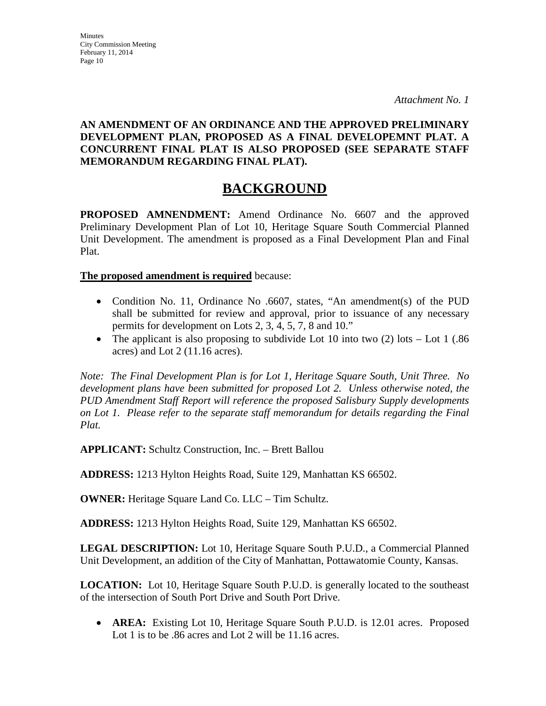# **AN AMENDMENT OF AN ORDINANCE AND THE APPROVED PRELIMINARY DEVELOPMENT PLAN, PROPOSED AS A FINAL DEVELOPEMNT PLAT. A CONCURRENT FINAL PLAT IS ALSO PROPOSED (SEE SEPARATE STAFF MEMORANDUM REGARDING FINAL PLAT).**

# **BACKGROUND**

**PROPOSED AMNENDMENT:** Amend Ordinance No. 6607 and the approved Preliminary Development Plan of Lot 10, Heritage Square South Commercial Planned Unit Development. The amendment is proposed as a Final Development Plan and Final Plat.

**The proposed amendment is required** because:

- Condition No. 11, Ordinance No .6607, states, "An amendment(s) of the PUD shall be submitted for review and approval, prior to issuance of any necessary permits for development on Lots 2, 3, 4, 5, 7, 8 and 10."
- The applicant is also proposing to subdivide Lot 10 into two  $(2)$  lots Lot 1 (.86) acres) and Lot 2 (11.16 acres).

*Note: The Final Development Plan is for Lot 1, Heritage Square South, Unit Three. No development plans have been submitted for proposed Lot 2. Unless otherwise noted, the PUD Amendment Staff Report will reference the proposed Salisbury Supply developments on Lot 1. Please refer to the separate staff memorandum for details regarding the Final Plat.*

**APPLICANT:** Schultz Construction, Inc. – Brett Ballou

**ADDRESS:** 1213 Hylton Heights Road, Suite 129, Manhattan KS 66502.

**OWNER:** Heritage Square Land Co. LLC – Tim Schultz.

**ADDRESS:** 1213 Hylton Heights Road, Suite 129, Manhattan KS 66502.

**LEGAL DESCRIPTION:** Lot 10, Heritage Square South P.U.D., a Commercial Planned Unit Development, an addition of the City of Manhattan, Pottawatomie County, Kansas.

**LOCATION:** Lot 10, Heritage Square South P.U.D. is generally located to the southeast of the intersection of South Port Drive and South Port Drive.

• **AREA:** Existing Lot 10, Heritage Square South P.U.D. is 12.01 acres. Proposed Lot 1 is to be .86 acres and Lot 2 will be 11.16 acres.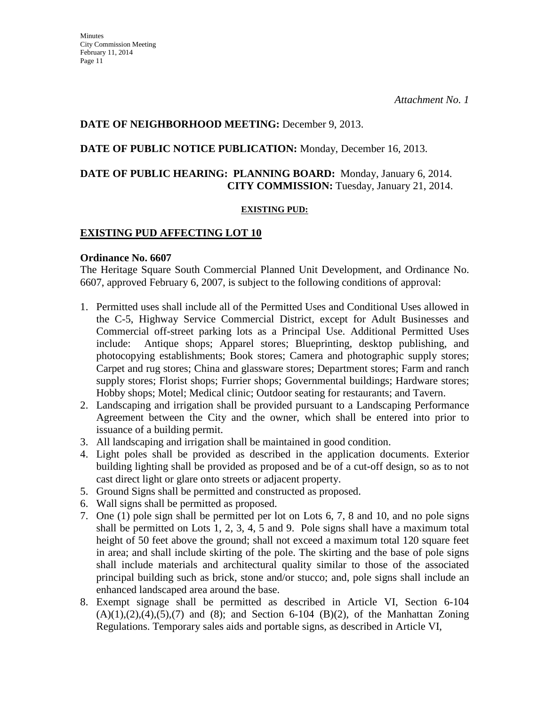# **DATE OF NEIGHBORHOOD MEETING:** December 9, 2013.

### **DATE OF PUBLIC NOTICE PUBLICATION:** Monday, December 16, 2013.

### **DATE OF PUBLIC HEARING: PLANNING BOARD:** Monday, January 6, 2014. **CITY COMMISSION:** Tuesday, January 21, 2014.

#### **EXISTING PUD:**

#### **EXISTING PUD AFFECTING LOT 10**

#### **Ordinance No. 6607**

The Heritage Square South Commercial Planned Unit Development, and Ordinance No. 6607, approved February 6, 2007, is subject to the following conditions of approval:

- 1. Permitted uses shall include all of the Permitted Uses and Conditional Uses allowed in the C-5, Highway Service Commercial District, except for Adult Businesses and Commercial off-street parking lots as a Principal Use. Additional Permitted Uses include: Antique shops; Apparel stores; Blueprinting, desktop publishing, and photocopying establishments; Book stores; Camera and photographic supply stores; Carpet and rug stores; China and glassware stores; Department stores; Farm and ranch supply stores; Florist shops; Furrier shops; Governmental buildings; Hardware stores; Hobby shops; Motel; Medical clinic; Outdoor seating for restaurants; and Tavern.
- 2. Landscaping and irrigation shall be provided pursuant to a Landscaping Performance Agreement between the City and the owner, which shall be entered into prior to issuance of a building permit.
- 3. All landscaping and irrigation shall be maintained in good condition.
- 4. Light poles shall be provided as described in the application documents. Exterior building lighting shall be provided as proposed and be of a cut-off design, so as to not cast direct light or glare onto streets or adjacent property.
- 5. Ground Signs shall be permitted and constructed as proposed.
- 6. Wall signs shall be permitted as proposed.
- 7. One (1) pole sign shall be permitted per lot on Lots 6, 7, 8 and 10, and no pole signs shall be permitted on Lots 1, 2, 3, 4, 5 and 9. Pole signs shall have a maximum total height of 50 feet above the ground; shall not exceed a maximum total 120 square feet in area; and shall include skirting of the pole. The skirting and the base of pole signs shall include materials and architectural quality similar to those of the associated principal building such as brick, stone and/or stucco; and, pole signs shall include an enhanced landscaped area around the base.
- 8. Exempt signage shall be permitted as described in Article VI, Section 6-104  $(A)(1),(2),(4),(5),(7)$  and  $(8)$ ; and Section 6-104  $(B)(2)$ , of the Manhattan Zoning Regulations. Temporary sales aids and portable signs, as described in Article VI,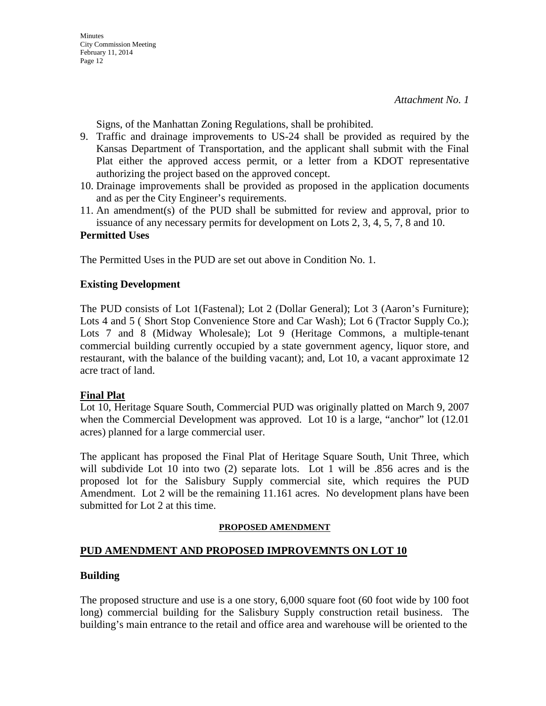Signs, of the Manhattan Zoning Regulations, shall be prohibited.

- 9. Traffic and drainage improvements to US-24 shall be provided as required by the Kansas Department of Transportation, and the applicant shall submit with the Final Plat either the approved access permit, or a letter from a KDOT representative authorizing the project based on the approved concept.
- 10. Drainage improvements shall be provided as proposed in the application documents and as per the City Engineer's requirements.
- 11. An amendment(s) of the PUD shall be submitted for review and approval, prior to issuance of any necessary permits for development on Lots 2, 3, 4, 5, 7, 8 and 10.

### **Permitted Uses**

The Permitted Uses in the PUD are set out above in Condition No. 1.

#### **Existing Development**

The PUD consists of Lot 1(Fastenal); Lot 2 (Dollar General); Lot 3 (Aaron's Furniture); Lots 4 and 5 (Short Stop Convenience Store and Car Wash); Lot 6 (Tractor Supply Co.); Lots 7 and 8 (Midway Wholesale); Lot 9 (Heritage Commons, a multiple-tenant commercial building currently occupied by a state government agency, liquor store, and restaurant, with the balance of the building vacant); and, Lot 10, a vacant approximate 12 acre tract of land.

### **Final Plat**

Lot 10, Heritage Square South, Commercial PUD was originally platted on March 9, 2007 when the Commercial Development was approved. Lot 10 is a large, "anchor" lot (12.01 acres) planned for a large commercial user.

The applicant has proposed the Final Plat of Heritage Square South, Unit Three, which will subdivide Lot 10 into two (2) separate lots. Lot 1 will be .856 acres and is the proposed lot for the Salisbury Supply commercial site, which requires the PUD Amendment. Lot 2 will be the remaining 11.161 acres. No development plans have been submitted for Lot 2 at this time.

### **PROPOSED AMENDMENT**

### **PUD AMENDMENT AND PROPOSED IMPROVEMNTS ON LOT 10**

### **Building**

The proposed structure and use is a one story, 6,000 square foot (60 foot wide by 100 foot long) commercial building for the Salisbury Supply construction retail business. The building's main entrance to the retail and office area and warehouse will be oriented to the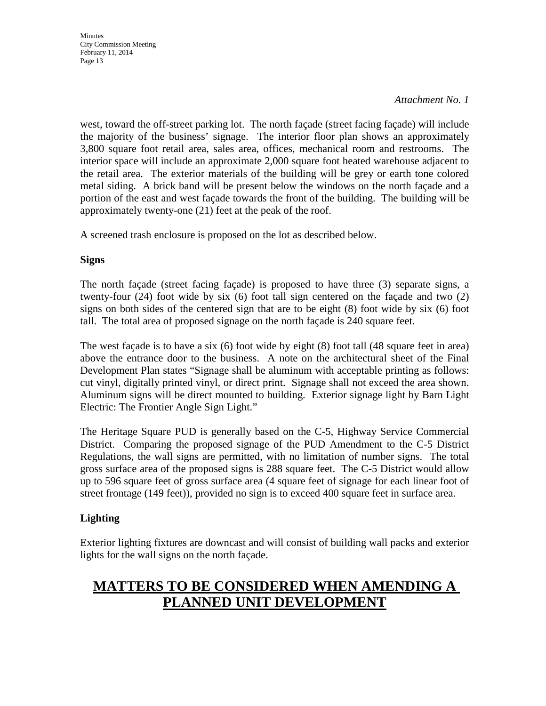#### *Attachment No. 1*

west, toward the off-street parking lot. The north façade (street facing façade) will include the majority of the business' signage. The interior floor plan shows an approximately 3,800 square foot retail area, sales area, offices, mechanical room and restrooms. The interior space will include an approximate 2,000 square foot heated warehouse adjacent to the retail area. The exterior materials of the building will be grey or earth tone colored metal siding. A brick band will be present below the windows on the north façade and a portion of the east and west façade towards the front of the building. The building will be approximately twenty-one (21) feet at the peak of the roof.

A screened trash enclosure is proposed on the lot as described below.

#### **Signs**

The north façade (street facing façade) is proposed to have three (3) separate signs, a twenty-four (24) foot wide by six (6) foot tall sign centered on the façade and two (2) signs on both sides of the centered sign that are to be eight (8) foot wide by six (6) foot tall. The total area of proposed signage on the north façade is 240 square feet.

The west façade is to have a six (6) foot wide by eight (8) foot tall (48 square feet in area) above the entrance door to the business. A note on the architectural sheet of the Final Development Plan states "Signage shall be aluminum with acceptable printing as follows: cut vinyl, digitally printed vinyl, or direct print. Signage shall not exceed the area shown. Aluminum signs will be direct mounted to building. Exterior signage light by Barn Light Electric: The Frontier Angle Sign Light."

The Heritage Square PUD is generally based on the C-5, Highway Service Commercial District. Comparing the proposed signage of the PUD Amendment to the C-5 District Regulations, the wall signs are permitted, with no limitation of number signs. The total gross surface area of the proposed signs is 288 square feet. The C-5 District would allow up to 596 square feet of gross surface area (4 square feet of signage for each linear foot of street frontage (149 feet)), provided no sign is to exceed 400 square feet in surface area.

### **Lighting**

Exterior lighting fixtures are downcast and will consist of building wall packs and exterior lights for the wall signs on the north façade.

# **MATTERS TO BE CONSIDERED WHEN AMENDING A PLANNED UNIT DEVELOPMENT**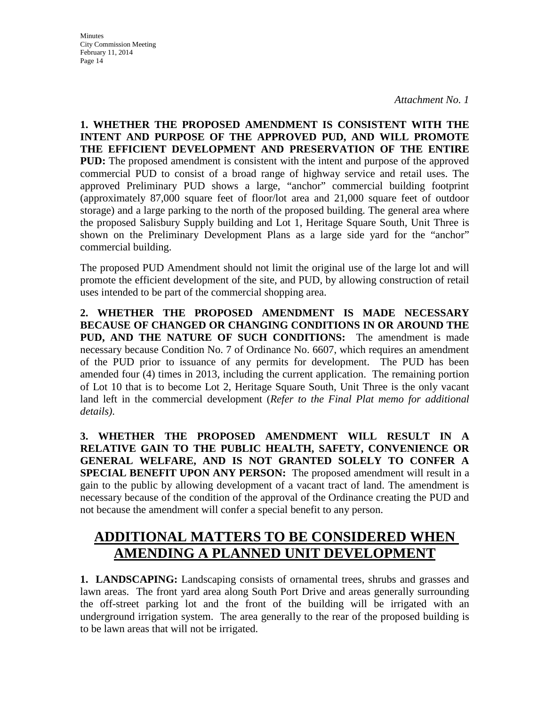**Minutes** City Commission Meeting February 11, 2014 Page 14

**1. WHETHER THE PROPOSED AMENDMENT IS CONSISTENT WITH THE INTENT AND PURPOSE OF THE APPROVED PUD, AND WILL PROMOTE THE EFFICIENT DEVELOPMENT AND PRESERVATION OF THE ENTIRE PUD:** The proposed amendment is consistent with the intent and purpose of the approved commercial PUD to consist of a broad range of highway service and retail uses. The approved Preliminary PUD shows a large, "anchor" commercial building footprint (approximately 87,000 square feet of floor/lot area and 21,000 square feet of outdoor storage) and a large parking to the north of the proposed building. The general area where the proposed Salisbury Supply building and Lot 1, Heritage Square South, Unit Three is shown on the Preliminary Development Plans as a large side yard for the "anchor" commercial building.

The proposed PUD Amendment should not limit the original use of the large lot and will promote the efficient development of the site, and PUD, by allowing construction of retail uses intended to be part of the commercial shopping area.

**2. WHETHER THE PROPOSED AMENDMENT IS MADE NECESSARY BECAUSE OF CHANGED OR CHANGING CONDITIONS IN OR AROUND THE PUD, AND THE NATURE OF SUCH CONDITIONS:** The amendment is made necessary because Condition No. 7 of Ordinance No. 6607, which requires an amendment of the PUD prior to issuance of any permits for development. The PUD has been amended four (4) times in 2013, including the current application. The remaining portion of Lot 10 that is to become Lot 2, Heritage Square South, Unit Three is the only vacant land left in the commercial development (*Refer to the Final Plat memo for additional details)*.

**3. WHETHER THE PROPOSED AMENDMENT WILL RESULT IN A RELATIVE GAIN TO THE PUBLIC HEALTH, SAFETY, CONVENIENCE OR GENERAL WELFARE, AND IS NOT GRANTED SOLELY TO CONFER A SPECIAL BENEFIT UPON ANY PERSON:** The proposed amendment will result in a gain to the public by allowing development of a vacant tract of land. The amendment is necessary because of the condition of the approval of the Ordinance creating the PUD and not because the amendment will confer a special benefit to any person.

# **ADDITIONAL MATTERS TO BE CONSIDERED WHEN AMENDING A PLANNED UNIT DEVELOPMENT**

**1. LANDSCAPING:** Landscaping consists of ornamental trees, shrubs and grasses and lawn areas. The front yard area along South Port Drive and areas generally surrounding the off-street parking lot and the front of the building will be irrigated with an underground irrigation system. The area generally to the rear of the proposed building is to be lawn areas that will not be irrigated.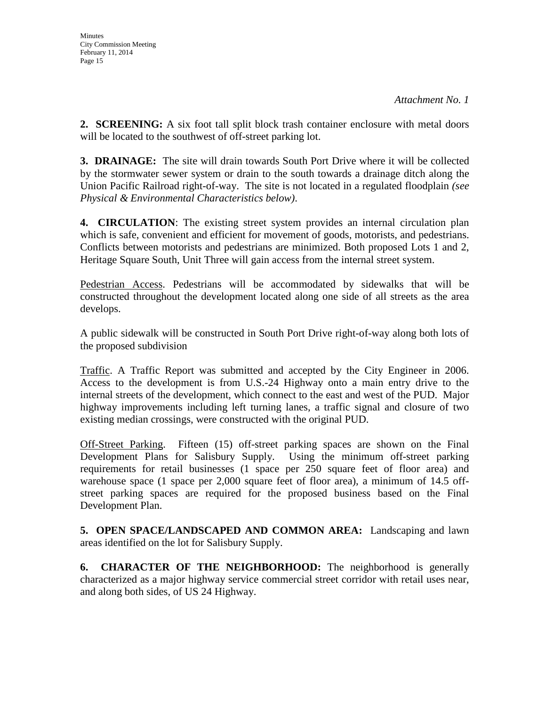**2. SCREENING:** A six foot tall split block trash container enclosure with metal doors will be located to the southwest of off-street parking lot.

**3. DRAINAGE:** The site will drain towards South Port Drive where it will be collected by the stormwater sewer system or drain to the south towards a drainage ditch along the Union Pacific Railroad right-of-way. The site is not located in a regulated floodplain *(see Physical & Environmental Characteristics below)*.

**4. CIRCULATION**: The existing street system provides an internal circulation plan which is safe, convenient and efficient for movement of goods, motorists, and pedestrians. Conflicts between motorists and pedestrians are minimized. Both proposed Lots 1 and 2, Heritage Square South, Unit Three will gain access from the internal street system.

Pedestrian Access. Pedestrians will be accommodated by sidewalks that will be constructed throughout the development located along one side of all streets as the area develops.

A public sidewalk will be constructed in South Port Drive right-of-way along both lots of the proposed subdivision

Traffic. A Traffic Report was submitted and accepted by the City Engineer in 2006. Access to the development is from U.S.-24 Highway onto a main entry drive to the internal streets of the development, which connect to the east and west of the PUD. Major highway improvements including left turning lanes, a traffic signal and closure of two existing median crossings, were constructed with the original PUD.

Off-Street Parking. Fifteen (15) off-street parking spaces are shown on the Final Development Plans for Salisbury Supply. Using the minimum off-street parking requirements for retail businesses (1 space per 250 square feet of floor area) and warehouse space (1 space per 2,000 square feet of floor area), a minimum of 14.5 offstreet parking spaces are required for the proposed business based on the Final Development Plan.

**5. OPEN SPACE/LANDSCAPED AND COMMON AREA:** Landscaping and lawn areas identified on the lot for Salisbury Supply.

**6. CHARACTER OF THE NEIGHBORHOOD:** The neighborhood is generally characterized as a major highway service commercial street corridor with retail uses near, and along both sides, of US 24 Highway.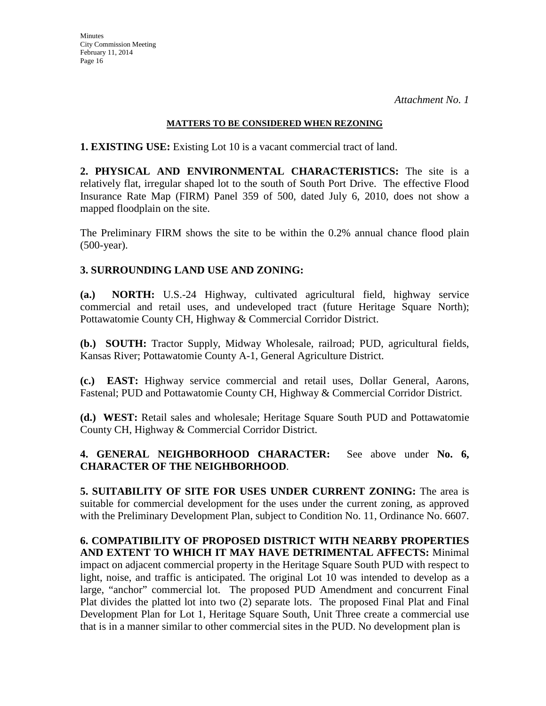#### **MATTERS TO BE CONSIDERED WHEN REZONING**

**1. EXISTING USE:** Existing Lot 10 is a vacant commercial tract of land.

**2. PHYSICAL AND ENVIRONMENTAL CHARACTERISTICS:** The site is a relatively flat, irregular shaped lot to the south of South Port Drive. The effective Flood Insurance Rate Map (FIRM) Panel 359 of 500, dated July 6, 2010, does not show a mapped floodplain on the site.

The Preliminary FIRM shows the site to be within the 0.2% annual chance flood plain (500-year).

### **3. SURROUNDING LAND USE AND ZONING:**

**(a.) NORTH:** U.S.-24 Highway, cultivated agricultural field, highway service commercial and retail uses, and undeveloped tract (future Heritage Square North); Pottawatomie County CH, Highway & Commercial Corridor District.

**(b.) SOUTH:** Tractor Supply, Midway Wholesale, railroad; PUD, agricultural fields, Kansas River; Pottawatomie County A-1, General Agriculture District.

**(c.) EAST:** Highway service commercial and retail uses, Dollar General, Aarons, Fastenal; PUD and Pottawatomie County CH, Highway & Commercial Corridor District.

**(d.) WEST:** Retail sales and wholesale; Heritage Square South PUD and Pottawatomie County CH, Highway & Commercial Corridor District.

**4. GENERAL NEIGHBORHOOD CHARACTER:** See above under **No. 6, CHARACTER OF THE NEIGHBORHOOD**.

**5. SUITABILITY OF SITE FOR USES UNDER CURRENT ZONING:** The area is suitable for commercial development for the uses under the current zoning, as approved with the Preliminary Development Plan, subject to Condition No. 11, Ordinance No. 6607.

**6. COMPATIBILITY OF PROPOSED DISTRICT WITH NEARBY PROPERTIES AND EXTENT TO WHICH IT MAY HAVE DETRIMENTAL AFFECTS:** Minimal impact on adjacent commercial property in the Heritage Square South PUD with respect to light, noise, and traffic is anticipated. The original Lot 10 was intended to develop as a large, "anchor" commercial lot. The proposed PUD Amendment and concurrent Final Plat divides the platted lot into two (2) separate lots. The proposed Final Plat and Final Development Plan for Lot 1, Heritage Square South, Unit Three create a commercial use that is in a manner similar to other commercial sites in the PUD. No development plan is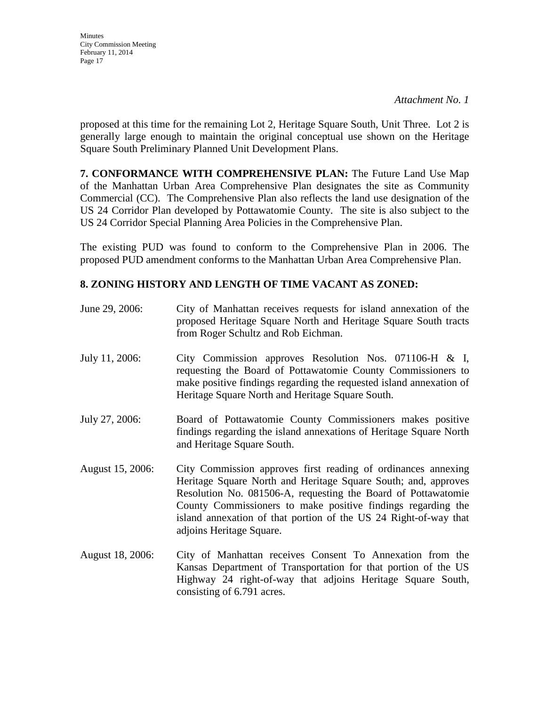**Minutes** City Commission Meeting February 11, 2014 Page 17

proposed at this time for the remaining Lot 2, Heritage Square South, Unit Three. Lot 2 is generally large enough to maintain the original conceptual use shown on the Heritage Square South Preliminary Planned Unit Development Plans.

**7. CONFORMANCE WITH COMPREHENSIVE PLAN:** The Future Land Use Map of the Manhattan Urban Area Comprehensive Plan designates the site as Community Commercial (CC). The Comprehensive Plan also reflects the land use designation of the US 24 Corridor Plan developed by Pottawatomie County. The site is also subject to the US 24 Corridor Special Planning Area Policies in the Comprehensive Plan.

The existing PUD was found to conform to the Comprehensive Plan in 2006. The proposed PUD amendment conforms to the Manhattan Urban Area Comprehensive Plan.

### **8. ZONING HISTORY AND LENGTH OF TIME VACANT AS ZONED:**

| June 29, 2006:   | City of Manhattan receives requests for island annexation of the<br>proposed Heritage Square North and Heritage Square South tracts<br>from Roger Schultz and Rob Eichman.                                                                                                                                                                                       |
|------------------|------------------------------------------------------------------------------------------------------------------------------------------------------------------------------------------------------------------------------------------------------------------------------------------------------------------------------------------------------------------|
| July 11, 2006:   | City Commission approves Resolution Nos. 071106-H & I,<br>requesting the Board of Pottawatomie County Commissioners to<br>make positive findings regarding the requested island annexation of<br>Heritage Square North and Heritage Square South.                                                                                                                |
| July 27, 2006:   | Board of Pottawatomie County Commissioners makes positive<br>findings regarding the island annexations of Heritage Square North<br>and Heritage Square South.                                                                                                                                                                                                    |
| August 15, 2006: | City Commission approves first reading of ordinances annexing<br>Heritage Square North and Heritage Square South; and, approves<br>Resolution No. 081506-A, requesting the Board of Pottawatomie<br>County Commissioners to make positive findings regarding the<br>island annexation of that portion of the US 24 Right-of-way that<br>adjoins Heritage Square. |
| August 18, 2006: | City of Manhattan receives Consent To Annexation from the<br>Kansas Department of Transportation for that portion of the US<br>Highway 24 right-of-way that adjoins Heritage Square South,<br>consisting of 6.791 acres.                                                                                                                                         |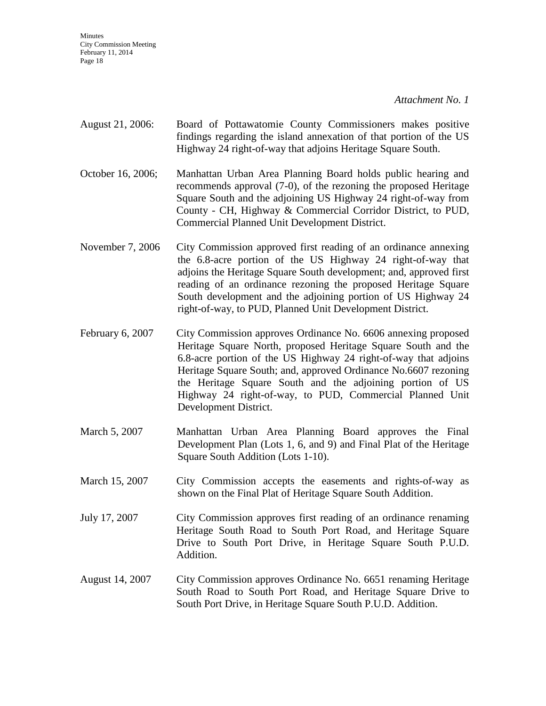*Attachment No. 1*

- August 21, 2006: Board of Pottawatomie County Commissioners makes positive findings regarding the island annexation of that portion of the US Highway 24 right-of-way that adjoins Heritage Square South.
- October 16, 2006; Manhattan Urban Area Planning Board holds public hearing and recommends approval (7-0), of the rezoning the proposed Heritage Square South and the adjoining US Highway 24 right-of-way from County - CH, Highway & Commercial Corridor District, to PUD, Commercial Planned Unit Development District.
- November 7, 2006 City Commission approved first reading of an ordinance annexing the 6.8-acre portion of the US Highway 24 right-of-way that adjoins the Heritage Square South development; and, approved first reading of an ordinance rezoning the proposed Heritage Square South development and the adjoining portion of US Highway 24 right-of-way, to PUD, Planned Unit Development District.
- February 6, 2007 City Commission approves Ordinance No. 6606 annexing proposed Heritage Square North, proposed Heritage Square South and the 6.8-acre portion of the US Highway 24 right-of-way that adjoins Heritage Square South; and, approved Ordinance No.6607 rezoning the Heritage Square South and the adjoining portion of US Highway 24 right-of-way, to PUD, Commercial Planned Unit Development District.
- March 5, 2007 Manhattan Urban Area Planning Board approves the Final Development Plan (Lots 1, 6, and 9) and Final Plat of the Heritage Square South Addition (Lots 1-10).
- March 15, 2007 City Commission accepts the easements and rights-of-way as shown on the Final Plat of Heritage Square South Addition.
- July 17, 2007 City Commission approves first reading of an ordinance renaming Heritage South Road to South Port Road, and Heritage Square Drive to South Port Drive, in Heritage Square South P.U.D. Addition.
- August 14, 2007 City Commission approves Ordinance No. 6651 renaming Heritage South Road to South Port Road, and Heritage Square Drive to South Port Drive, in Heritage Square South P.U.D. Addition.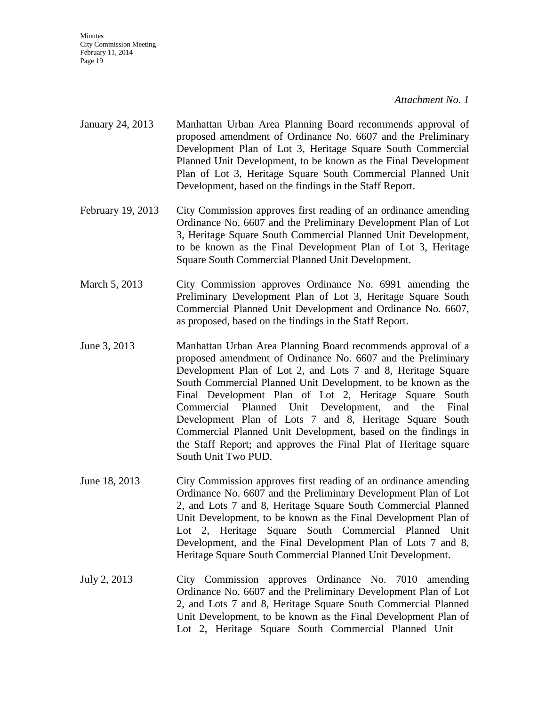#### *Attachment No. 1*

- January 24, 2013 Manhattan Urban Area Planning Board recommends approval of proposed amendment of Ordinance No. 6607 and the Preliminary Development Plan of Lot 3, Heritage Square South Commercial Planned Unit Development, to be known as the Final Development Plan of Lot 3, Heritage Square South Commercial Planned Unit Development, based on the findings in the Staff Report.
- February 19, 2013 City Commission approves first reading of an ordinance amending Ordinance No. 6607 and the Preliminary Development Plan of Lot 3, Heritage Square South Commercial Planned Unit Development, to be known as the Final Development Plan of Lot 3, Heritage Square South Commercial Planned Unit Development.
- March 5, 2013 City Commission approves Ordinance No. 6991 amending the Preliminary Development Plan of Lot 3, Heritage Square South Commercial Planned Unit Development and Ordinance No. 6607, as proposed, based on the findings in the Staff Report.
- June 3, 2013 Manhattan Urban Area Planning Board recommends approval of a proposed amendment of Ordinance No. 6607 and the Preliminary Development Plan of Lot 2, and Lots 7 and 8, Heritage Square South Commercial Planned Unit Development, to be known as the Final Development Plan of Lot 2, Heritage Square South Commercial Planned Unit Development, and the Final Development Plan of Lots 7 and 8, Heritage Square South Commercial Planned Unit Development, based on the findings in the Staff Report; and approves the Final Plat of Heritage square South Unit Two PUD.
- June 18, 2013 City Commission approves first reading of an ordinance amending Ordinance No. 6607 and the Preliminary Development Plan of Lot 2, and Lots 7 and 8, Heritage Square South Commercial Planned Unit Development, to be known as the Final Development Plan of Lot 2, Heritage Square South Commercial Planned Unit Development, and the Final Development Plan of Lots 7 and 8, Heritage Square South Commercial Planned Unit Development.
- July 2, 2013 City Commission approves Ordinance No. 7010 amending Ordinance No. 6607 and the Preliminary Development Plan of Lot 2, and Lots 7 and 8, Heritage Square South Commercial Planned Unit Development, to be known as the Final Development Plan of Lot 2, Heritage Square South Commercial Planned Unit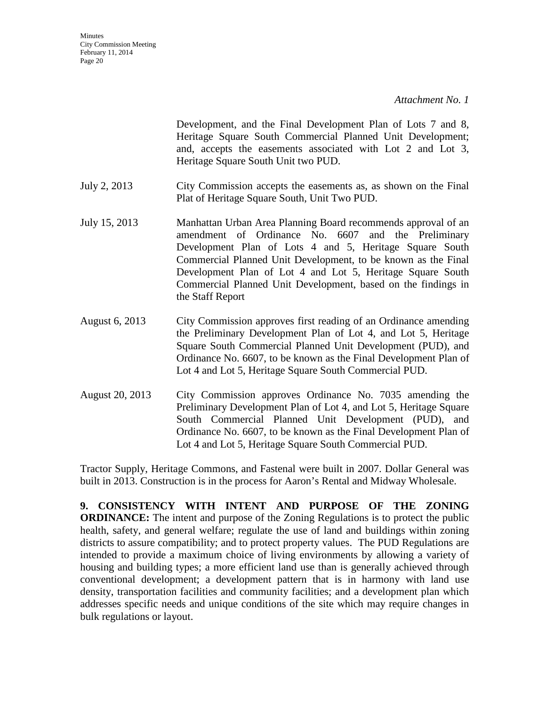Development, and the Final Development Plan of Lots 7 and 8, Heritage Square South Commercial Planned Unit Development; and, accepts the easements associated with Lot 2 and Lot 3, Heritage Square South Unit two PUD.

- July 2, 2013 City Commission accepts the easements as, as shown on the Final Plat of Heritage Square South, Unit Two PUD.
- July 15, 2013 Manhattan Urban Area Planning Board recommends approval of an amendment of Ordinance No. 6607 and the Preliminary Development Plan of Lots 4 and 5, Heritage Square South Commercial Planned Unit Development, to be known as the Final Development Plan of Lot 4 and Lot 5, Heritage Square South Commercial Planned Unit Development, based on the findings in the Staff Report
- August 6, 2013 City Commission approves first reading of an Ordinance amending the Preliminary Development Plan of Lot 4, and Lot 5, Heritage Square South Commercial Planned Unit Development (PUD), and Ordinance No. 6607, to be known as the Final Development Plan of Lot 4 and Lot 5, Heritage Square South Commercial PUD.
- August 20, 2013 City Commission approves Ordinance No. 7035 amending the Preliminary Development Plan of Lot 4, and Lot 5, Heritage Square South Commercial Planned Unit Development (PUD), and Ordinance No. 6607, to be known as the Final Development Plan of Lot 4 and Lot 5, Heritage Square South Commercial PUD.

Tractor Supply, Heritage Commons, and Fastenal were built in 2007. Dollar General was built in 2013. Construction is in the process for Aaron's Rental and Midway Wholesale.

**9. CONSISTENCY WITH INTENT AND PURPOSE OF THE ZONING ORDINANCE:** The intent and purpose of the Zoning Regulations is to protect the public health, safety, and general welfare; regulate the use of land and buildings within zoning districts to assure compatibility; and to protect property values. The PUD Regulations are intended to provide a maximum choice of living environments by allowing a variety of housing and building types; a more efficient land use than is generally achieved through conventional development; a development pattern that is in harmony with land use density, transportation facilities and community facilities; and a development plan which addresses specific needs and unique conditions of the site which may require changes in bulk regulations or layout.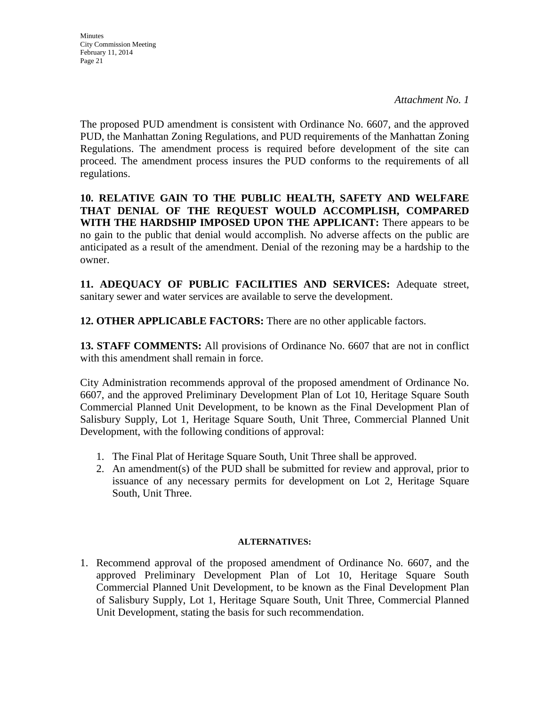*Attachment No. 1*

The proposed PUD amendment is consistent with Ordinance No. 6607, and the approved PUD, the Manhattan Zoning Regulations, and PUD requirements of the Manhattan Zoning Regulations. The amendment process is required before development of the site can proceed. The amendment process insures the PUD conforms to the requirements of all regulations.

**10. RELATIVE GAIN TO THE PUBLIC HEALTH, SAFETY AND WELFARE THAT DENIAL OF THE REQUEST WOULD ACCOMPLISH, COMPARED WITH THE HARDSHIP IMPOSED UPON THE APPLICANT:** There appears to be no gain to the public that denial would accomplish. No adverse affects on the public are anticipated as a result of the amendment. Denial of the rezoning may be a hardship to the owner.

**11. ADEQUACY OF PUBLIC FACILITIES AND SERVICES:** Adequate street, sanitary sewer and water services are available to serve the development.

**12. OTHER APPLICABLE FACTORS:** There are no other applicable factors.

**13. STAFF COMMENTS:** All provisions of Ordinance No. 6607 that are not in conflict with this amendment shall remain in force.

City Administration recommends approval of the proposed amendment of Ordinance No. 6607, and the approved Preliminary Development Plan of Lot 10, Heritage Square South Commercial Planned Unit Development, to be known as the Final Development Plan of Salisbury Supply, Lot 1, Heritage Square South, Unit Three, Commercial Planned Unit Development, with the following conditions of approval:

- 1. The Final Plat of Heritage Square South, Unit Three shall be approved.
- 2. An amendment(s) of the PUD shall be submitted for review and approval, prior to issuance of any necessary permits for development on Lot 2, Heritage Square South, Unit Three.

### **ALTERNATIVES:**

1. Recommend approval of the proposed amendment of Ordinance No. 6607, and the approved Preliminary Development Plan of Lot 10, Heritage Square South Commercial Planned Unit Development, to be known as the Final Development Plan of Salisbury Supply, Lot 1, Heritage Square South, Unit Three, Commercial Planned Unit Development, stating the basis for such recommendation.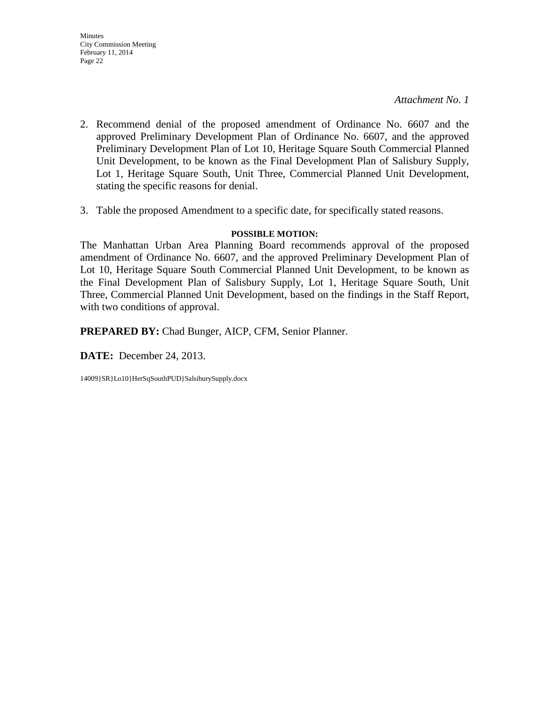*Attachment No. 1*

- 2. Recommend denial of the proposed amendment of Ordinance No. 6607 and the approved Preliminary Development Plan of Ordinance No. 6607, and the approved Preliminary Development Plan of Lot 10, Heritage Square South Commercial Planned Unit Development, to be known as the Final Development Plan of Salisbury Supply, Lot 1, Heritage Square South, Unit Three, Commercial Planned Unit Development, stating the specific reasons for denial.
- 3. Table the proposed Amendment to a specific date, for specifically stated reasons.

#### **POSSIBLE MOTION:**

The Manhattan Urban Area Planning Board recommends approval of the proposed amendment of Ordinance No. 6607, and the approved Preliminary Development Plan of Lot 10, Heritage Square South Commercial Planned Unit Development, to be known as the Final Development Plan of Salisbury Supply, Lot 1, Heritage Square South, Unit Three, Commercial Planned Unit Development, based on the findings in the Staff Report, with two conditions of approval.

**PREPARED BY:** Chad Bunger, AICP, CFM, Senior Planner.

**DATE:** December 24, 2013.

14009}SR}Lo10}HerSqSouthPUD}SalsiburySupply.docx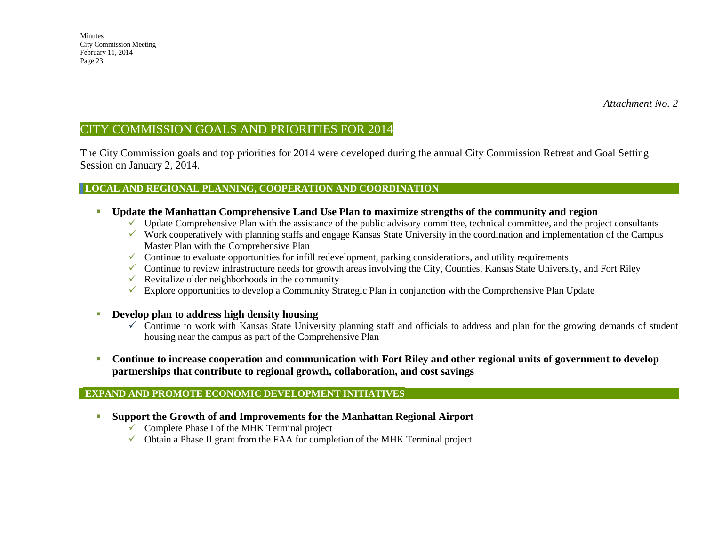# CITY COMMISSION GOALS AND PRIORITIES FOR 2014

The City Commission goals and top priorities for 2014 were developed during the annual City Commission Retreat and Goal Setting Session on January 2, 2014.

#### **LOCAL AND REGIONAL PLANNING, COOPERATION AND COORDINATION**

- **Update the Manhattan Comprehensive Land Use Plan to maximize strengths of the community and region** 
	- $\checkmark$  Update Comprehensive Plan with the assistance of the public advisory committee, technical committee, and the project consultants
	- $\checkmark$  Work cooperatively with planning staffs and engage Kansas State University in the coordination and implementation of the Campus Master Plan with the Comprehensive Plan
	- Continue to evaluate opportunities for infill redevelopment, parking considerations, and utility requirements
	- $\checkmark$  Continue to review infrastructure needs for growth areas involving the City, Counties, Kansas State University, and Fort Riley
	- $\checkmark$  Revitalize older neighborhoods in the community
	- $\checkmark$  Explore opportunities to develop a Community Strategic Plan in conjunction with the Comprehensive Plan Update
- **Develop plan to address high density housing**
	- $\checkmark$  Continue to work with Kansas State University planning staff and officials to address and plan for the growing demands of student housing near the campus as part of the Comprehensive Plan
- **Continue to increase cooperation and communication with Fort Riley and other regional units of government to develop partnerships that contribute to regional growth, collaboration, and cost savings**

#### **EXPAND AND PROMOTE ECONOMIC DEVELOPMENT INITIATIVES**

- **Support the Growth of and Improvements for the Manhattan Regional Airport** 
	- $\sqrt{\phantom{a}}$  Complete Phase I of the MHK Terminal project
	- $\checkmark$  Obtain a Phase II grant from the FAA for completion of the MHK Terminal project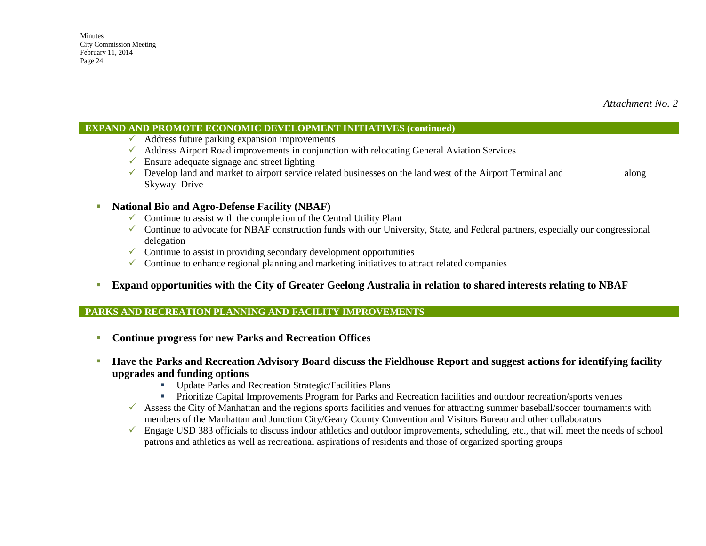#### **EXPAND AND PROMOTE ECONOMIC DEVELOPMENT INITIATIVES (continued)**

- $\checkmark$  Address future parking expansion improvements
- $\checkmark$  Address Airport Road improvements in conjunction with relocating General Aviation Services
- $\checkmark$  Ensure adequate signage and street lighting
- $\checkmark$  Develop land and market to airport service related businesses on the land west of the Airport Terminal and along Skyway Drive

#### **National Bio and Agro-Defense Facility (NBAF)**

- $\checkmark$  Continue to assist with the completion of the Central Utility Plant
- $\checkmark$  Continue to advocate for NBAF construction funds with our University, State, and Federal partners, especially our congressional delegation
- $\checkmark$  Continue to assist in providing secondary development opportunities
- $\checkmark$  Continue to enhance regional planning and marketing initiatives to attract related companies
- **Expand opportunities with the City of Greater Geelong Australia in relation to shared interests relating to NBAF**

#### **PARKS AND RECREATION PLANNING AND FACILITY IMPROVEMENTS**

- **Continue progress for new Parks and Recreation Offices**
- **Have the Parks and Recreation Advisory Board discuss the Fieldhouse Report and suggest actions for identifying facility upgrades and funding options**
	- Update Parks and Recreation Strategic/Facilities Plans
	- Prioritize Capital Improvements Program for Parks and Recreation facilities and outdoor recreation/sports venues
	- $\checkmark$  Assess the City of Manhattan and the regions sports facilities and venues for attracting summer baseball/soccer tournaments with members of the Manhattan and Junction City/Geary County Convention and Visitors Bureau and other collaborators
	- $\checkmark$  Engage USD 383 officials to discuss indoor athletics and outdoor improvements, scheduling, etc., that will meet the needs of school patrons and athletics as well as recreational aspirations of residents and those of organized sporting groups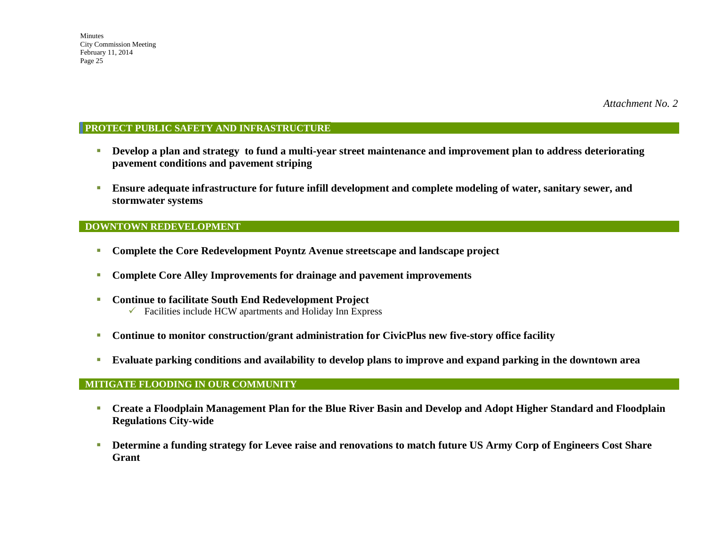### **PROTECT PUBLIC SAFETY AND INFRASTRUCTURE**

- **Develop a plan and strategy to fund a multi-year street maintenance and improvement plan to address deteriorating pavement conditions and pavement striping**
- **Ensure adequate infrastructure for future infill development and complete modeling of water, sanitary sewer, and stormwater systems**

#### **DOWNTOWN REDEVELOPMENT**

- **Complete the Core Redevelopment Poyntz Avenue streetscape and landscape project**
- **Complete Core Alley Improvements for drainage and pavement improvements**
- **Continue to facilitate South End Redevelopment Project**   $\checkmark$  Facilities include HCW apartments and Holiday Inn Express
- **Continue to monitor construction/grant administration for CivicPlus new five-story office facility**
- **Evaluate parking conditions and availability to develop plans to improve and expand parking in the downtown area**

#### **MITIGATE FLOODING IN OUR COMMUNITY**

- **Create a Floodplain Management Plan for the Blue River Basin and Develop and Adopt Higher Standard and Floodplain Regulations City-wide**
- **Determine a funding strategy for Levee raise and renovations to match future US Army Corp of Engineers Cost Share Grant**